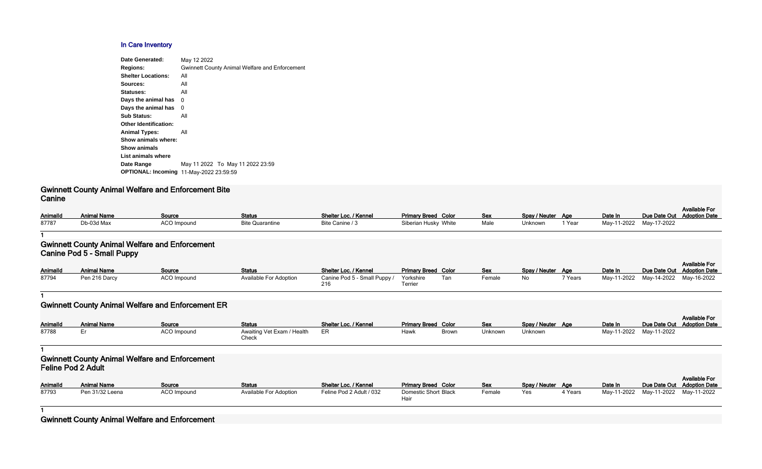### **In Care Inventory**

| May 12 2022                                           |
|-------------------------------------------------------|
| <b>Gwinnett County Animal Welfare and Enforcement</b> |
| All                                                   |
| All                                                   |
| All                                                   |
| 0                                                     |
| 0                                                     |
| All                                                   |
|                                                       |
| All                                                   |
|                                                       |
|                                                       |
|                                                       |
| May 11 2022 To May 11 2022 23:59                      |
| <b>OPTIONAL: Incoming 11-May-2022 23:59:59</b>        |
|                                                       |

# **Gwinnett County Animal Welfare and Enforcement Bite Canine**

| AnimalId | <b>Animal Name</b> | Source             | Status                 | Shelter Loc. / Kennel | <b>Primary Breed Color</b> | Sex  | Spay / Neuter Age |        | Date In                 | Due Date Out |
|----------|--------------------|--------------------|------------------------|-----------------------|----------------------------|------|-------------------|--------|-------------------------|--------------|
| 87787    | Db-03d Max         | <b>ACO Impound</b> | <b>Bite Quarantine</b> | Bite Canine / 3       | Siberian Husky White       | Male | Unknown           | 1 Year | May-11-2022 May-17-2022 |              |

#### **1**

## **Gwinnett County Animal Welfare and Enforcement Canine Pod 5 - Small Puppy**

| <b>AnimalId</b> | <b>Animal Name</b> | <u>Source</u> | <b>Status</b>          | Shelter Loc. / Kennel                  | <b>Primary Breed Color</b> |     | <b>Sex</b> | Spay / Neuter Age |         | Date In     | Due Date Out |
|-----------------|--------------------|---------------|------------------------|----------------------------------------|----------------------------|-----|------------|-------------------|---------|-------------|--------------|
| 87794           | Pen 216 Darcy      | ACO Impound   | Available For Adoption | Canine Pod 5 - Small Puppy / Yorkshire |                            | Tan | Female     | No                | 7 Years | May-11-2022 | May-14-2022  |
|                 |                    |               |                        |                                        | Terrier                    |     |            |                   |         |             |              |

#### **1**

# **Gwinnett County Animal Welfare and Enforcement ER**

| Color        | <b>Sex</b> | Spay / Neuter        | Age     | Date In     | Due Date Out | <b>Available For</b><br><b>Adoption Date</b> |
|--------------|------------|----------------------|---------|-------------|--------------|----------------------------------------------|
| White        | Male       | Unknown              | 1 Year  | May-11-2022 | May-17-2022  |                                              |
|              |            |                      |         |             |              |                                              |
|              |            |                      |         |             |              |                                              |
| Color        | <b>Sex</b> | Spay / Neuter        | Age     | Date In     | Due Date Out | <b>Available For</b><br><b>Adoption Date</b> |
| Tan          | Female     | No                   | 7 Years | May-11-2022 | May-14-2022  | May-16-2022                                  |
|              |            |                      |         |             |              |                                              |
|              |            |                      |         |             |              |                                              |
| Color        | <b>Sex</b> | <b>Spay / Neuter</b> | Age     | Date In     | Due Date Out | <b>Available For</b><br><b>Adoption Date</b> |
| Brown        | Unknown    | Unknown              |         | May-11-2022 | May-11-2022  |                                              |
|              |            |                      |         |             |              |                                              |
|              |            |                      |         |             |              |                                              |
| Color        | <b>Sex</b> | Spay / Neuter        | Age     | Date In     | Due Date Out | <b>Available For</b><br><b>Adoption Date</b> |
| <b>Black</b> | Female     | Yes                  | 4 Years | May-11-2022 | May-11-2022  | May-11-2022                                  |
|              |            |                      |         |             |              |                                              |

| <b>AnimalId</b> | <b>Animal Name</b> | Source      | <b>Status</b>                       | Shelter Loc. / Kennel | <b>Primary Breed Color</b> |       | <b>Sex</b> | Spay / Neuter Age | Date In                 | Due Date Out |
|-----------------|--------------------|-------------|-------------------------------------|-----------------------|----------------------------|-------|------------|-------------------|-------------------------|--------------|
| 87788           |                    | ACO Impound | Awaiting Vet Exam / Health<br>Check | ER                    | Hawk                       | Brown | Unknown    | Unknown           | May-11-2022 May-11-2022 |              |

### **1 Gwinnett County Animal Welfare and Enforcement Feline Pod 2 Adult**

| <b>AnimalId</b> | <b>Animal Name</b> | <u>Source</u> | <b>Status</b>          | Shelter Loc. / Kennel    | <b>Primary Breed Color</b>          | <b>Sex</b> | Spay / Neuter Age |         | Date In     | Due Date Out |
|-----------------|--------------------|---------------|------------------------|--------------------------|-------------------------------------|------------|-------------------|---------|-------------|--------------|
| 87793           | Pen 31/32 Leena    | ACO Impound   | Available For Adoption | Feline Pod 2 Adult / 032 | <b>Domestic Short Black</b><br>Haiı | Female     | Yes               | 4 Years | May-11-2022 | May-11-2022  |

**1**

# **Gwinnett County Animal Welfare and Enforcement**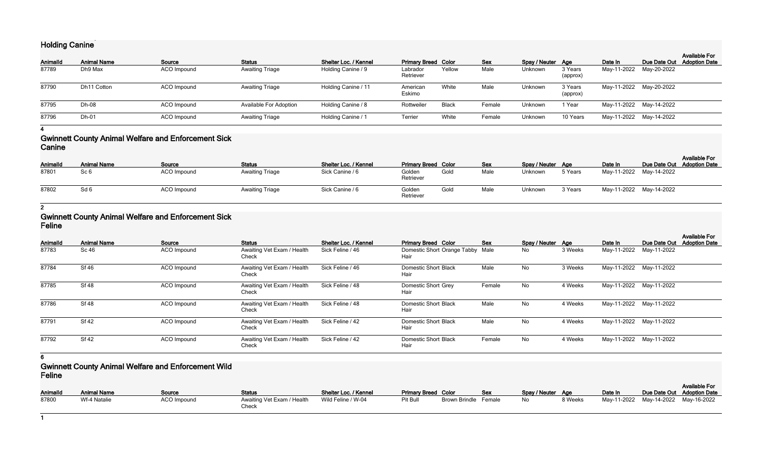# **Holding Canine**

| <b>AnimalId</b> | <b>Animal Name</b> | Source      | <b>Status</b>                 | Shelter Loc. / Kennel | <b>Primary Breed Color</b> |        | <b>Sex</b> | Spay / Neuter Age |                     | Date In | Due Date Out            | <b>Available For</b><br><b>Adoption Date</b> |
|-----------------|--------------------|-------------|-------------------------------|-----------------------|----------------------------|--------|------------|-------------------|---------------------|---------|-------------------------|----------------------------------------------|
| 87789           | Dh9 Max            | ACO Impound | <b>Awaiting Triage</b>        | Holding Canine / 9    | Labrador<br>Retriever      | Yellow | Male       | Unknown           | 3 Years<br>(approx) |         | May-11-2022 May-20-2022 |                                              |
| 87790           | Dh11 Cotton        | ACO Impound | <b>Awaiting Triage</b>        | Holding Canine / 11   | American<br>Eskimo         | White  | Male       | Unknown           | 3 Years<br>(approx) |         | May-11-2022 May-20-2022 |                                              |
| 87795           | Dh-08              | ACO Impound | <b>Available For Adoption</b> | Holding Canine / 8    | Rottweiler                 | Black  | Female     | Unknown           | 1 Year              |         | May-11-2022 May-14-2022 |                                              |
| 87796           | Dh-01              | ACO Impound | <b>Awaiting Triage</b>        | Holding Canine / 1    | Terrier                    | White  | Female     | Unknown           | 10 Years            |         | May-11-2022 May-14-2022 |                                              |

**4**

### **Gwinnett County Animal Welfare and Enforcement Sick Canine**

| <b>AnimalId</b> | <b>Animal Name</b> | Source      | <b>Status</b>          | <b>Shelter Loc. / Kennel</b> | <b>Primary Breed Color</b> |      | <b>Sex</b> | Spay / Neuter Age |         | Date In                 | Due Date Out Adoption Date | <b>Available For</b> |
|-----------------|--------------------|-------------|------------------------|------------------------------|----------------------------|------|------------|-------------------|---------|-------------------------|----------------------------|----------------------|
| 87801           | Sc <sub>6</sub>    | ACO Impound | <b>Awaiting Triage</b> | Sick Canine / 6              | Golden<br>Retriever        | Gold | Male       | Unknown           | 5 Years | May-11-2022 May-14-2022 |                            |                      |
| 87802           | Sd <sub>6</sub>    | ACO Impound | <b>Awaiting Triage</b> | Sick Canine / 6              | Golden<br>Retriever        | Golc | Male       | Unknown           | 3 Years | May-11-2022 May-14-2022 |                            |                      |

**2**

# **Gwinnett County Animal Welfare and Enforcement Sick Feline**

| Animalld | <b>Animal Name</b> | Source      | <b>Status</b>                       | Shelter Loc. / Kennel | <b>Primary Breed Color</b>               | Sex    | Spay / Neuter Age |         | Date In                 | Due Date Out | <b>Available For</b><br><b>Adoption Date</b> |
|----------|--------------------|-------------|-------------------------------------|-----------------------|------------------------------------------|--------|-------------------|---------|-------------------------|--------------|----------------------------------------------|
| 87783    | Sc 46              | ACO Impound | Awaiting Vet Exam / Health<br>Check | Sick Feline / 46      | Domestic Short Orange Tabby Male<br>Hair |        | No                | 3 Weeks | May-11-2022 May-11-2022 |              |                                              |
| 87784    | <b>Sf 46</b>       | ACO Impound | Awaiting Vet Exam / Health<br>Check | Sick Feline / 46      | <b>Domestic Short Black</b><br>Hair      | Male   | No                | 3 Weeks | May-11-2022 May-11-2022 |              |                                              |
| 87785    | <b>Sf 48</b>       | ACO Impound | Awaiting Vet Exam / Health<br>Check | Sick Feline / 48      | Domestic Short Grey<br>Hair              | Female | No                | 4 Weeks | May-11-2022 May-11-2022 |              |                                              |
| 87786    | <b>Sf 48</b>       | ACO Impound | Awaiting Vet Exam / Health<br>Check | Sick Feline / 48      | <b>Domestic Short Black</b><br>Hair      | Male   | No                | 4 Weeks | May-11-2022 May-11-2022 |              |                                              |
| 87791    | <b>Sf 42</b>       | ACO Impound | Awaiting Vet Exam / Health<br>Check | Sick Feline / 42      | <b>Domestic Short Black</b><br>Hair      | Male   | No                | 4 Weeks | May-11-2022 May-11-2022 |              |                                              |
| 87792    | <b>Sf 42</b>       | ACO Impound | Awaiting Vet Exam / Health<br>Check | Sick Feline / 42      | <b>Domestic Short Black</b><br>Hair      | Female | <b>No</b>         | 4 Weeks | May-11-2022 May-11-2022 |              |                                              |

**6**

# **Gwinnett County Animal Welfare and Enforcement Wild Feline**

| .               |                    |               |                                     |                              |                            |                      |     |                   |         |         |                                     |                      |
|-----------------|--------------------|---------------|-------------------------------------|------------------------------|----------------------------|----------------------|-----|-------------------|---------|---------|-------------------------------------|----------------------|
|                 |                    |               |                                     |                              |                            |                      |     |                   |         |         |                                     | <b>Available For</b> |
| <b>AnimalId</b> | <b>Animal Name</b> | <b>Source</b> | <b>Status</b>                       | <b>Shelter Loc. / Kennel</b> | <b>Primary Breed Color</b> |                      | Sex | Spay / Neuter Age |         | Date In | Due Date Out Adoption Date          |                      |
| 87800           | Wf-4 Natalie       | ACO Impound   | Awaiting Vet Exam / Health<br>Check | Wild Feline / W-04           | Pit Bull                   | Brown Brindle Female |     | No.               | 8 Weeks |         | May-11-2022 May-14-2022 May-16-2022 |                      |